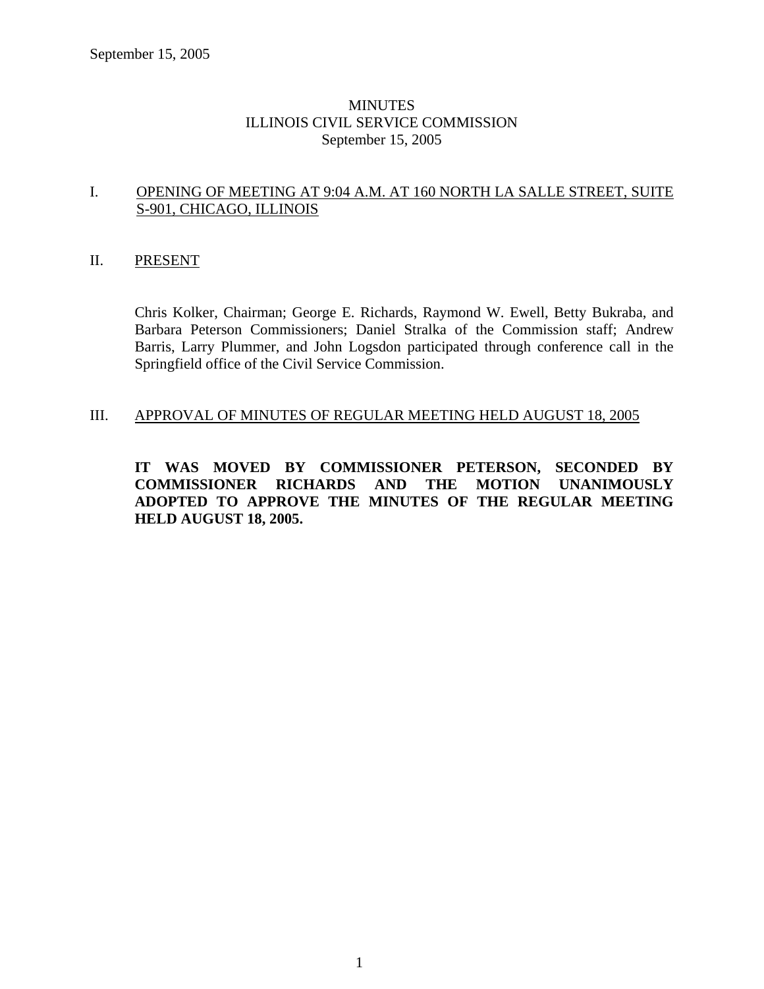## **MINUTES** ILLINOIS CIVIL SERVICE COMMISSION September 15, 2005

### I. OPENING OF MEETING AT 9:04 A.M. AT 160 NORTH LA SALLE STREET, SUITE S-901, CHICAGO, ILLINOIS

## II. PRESENT

Chris Kolker, Chairman; George E. Richards, Raymond W. Ewell, Betty Bukraba, and Barbara Peterson Commissioners; Daniel Stralka of the Commission staff; Andrew Barris, Larry Plummer, and John Logsdon participated through conference call in the Springfield office of the Civil Service Commission.

## III. APPROVAL OF MINUTES OF REGULAR MEETING HELD AUGUST 18, 2005

**IT WAS MOVED BY COMMISSIONER PETERSON, SECONDED BY COMMISSIONER RICHARDS AND THE MOTION UNANIMOUSLY ADOPTED TO APPROVE THE MINUTES OF THE REGULAR MEETING HELD AUGUST 18, 2005.**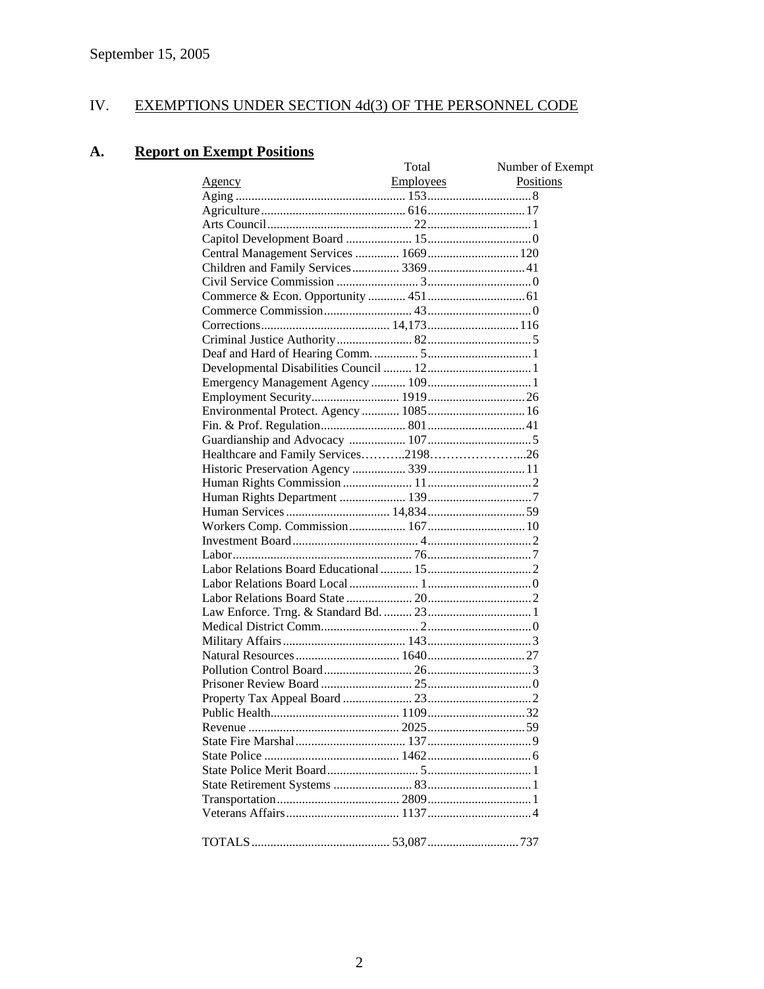# IV. EXEMPTIONS UNDER SECTION 4d(3) OF THE PERSONNEL CODE

# **A. Report on Exempt Positions**

|                                        | Total            | Number of Exempt |
|----------------------------------------|------------------|------------------|
| <u>Agency</u>                          | <b>Employees</b> | Positions        |
|                                        |                  |                  |
|                                        |                  |                  |
|                                        |                  |                  |
|                                        |                  |                  |
|                                        |                  |                  |
|                                        |                  |                  |
|                                        |                  |                  |
|                                        |                  |                  |
|                                        |                  |                  |
|                                        |                  |                  |
|                                        |                  |                  |
|                                        |                  |                  |
|                                        |                  |                  |
|                                        |                  |                  |
|                                        |                  |                  |
| Environmental Protect. Agency  1085 16 |                  |                  |
|                                        |                  |                  |
|                                        |                  |                  |
|                                        |                  |                  |
|                                        |                  |                  |
|                                        |                  |                  |
|                                        |                  |                  |
|                                        |                  |                  |
|                                        |                  |                  |
|                                        |                  |                  |
|                                        |                  |                  |
|                                        |                  |                  |
|                                        |                  |                  |
|                                        |                  |                  |
|                                        |                  |                  |
|                                        |                  |                  |
|                                        |                  |                  |
|                                        |                  |                  |
|                                        |                  |                  |
|                                        |                  |                  |
|                                        |                  |                  |
|                                        |                  |                  |
|                                        |                  |                  |
|                                        |                  |                  |
|                                        |                  |                  |
|                                        |                  |                  |
|                                        |                  |                  |
|                                        |                  |                  |
|                                        |                  |                  |
|                                        |                  |                  |
|                                        |                  |                  |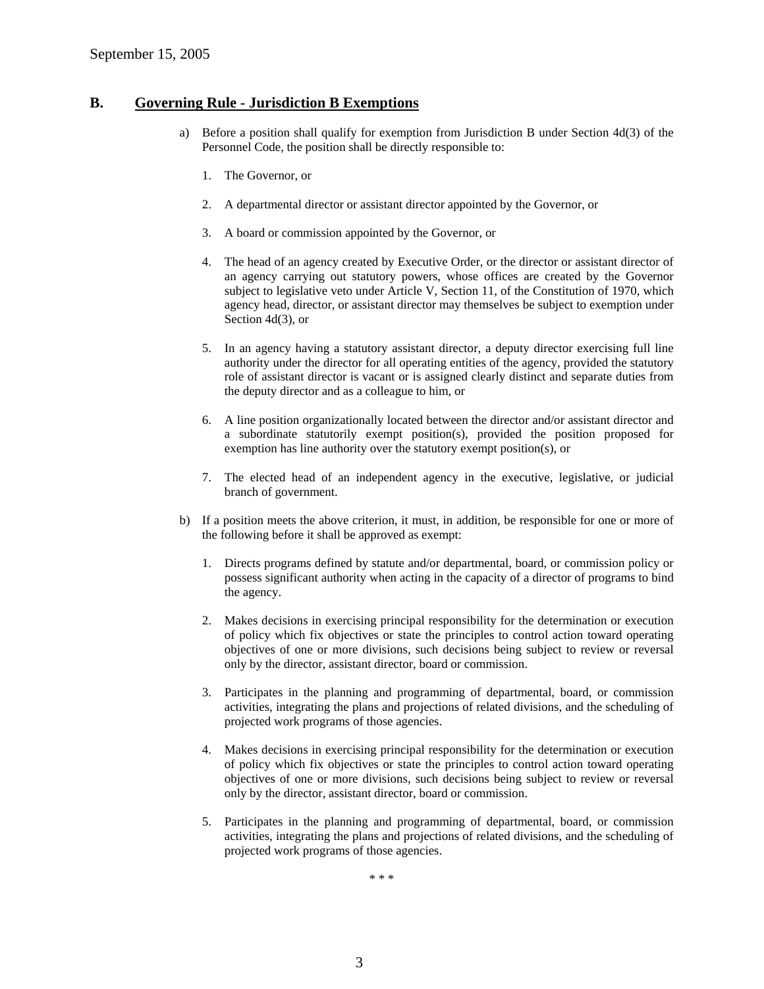#### **B. Governing Rule - Jurisdiction B Exemptions**

- a) Before a position shall qualify for exemption from Jurisdiction B under Section 4d(3) of the Personnel Code, the position shall be directly responsible to:
	- 1. The Governor, or
	- 2. A departmental director or assistant director appointed by the Governor, or
	- 3. A board or commission appointed by the Governor, or
	- 4. The head of an agency created by Executive Order, or the director or assistant director of an agency carrying out statutory powers, whose offices are created by the Governor subject to legislative veto under Article V, Section 11, of the Constitution of 1970, which agency head, director, or assistant director may themselves be subject to exemption under Section 4d(3), or
	- 5. In an agency having a statutory assistant director, a deputy director exercising full line authority under the director for all operating entities of the agency, provided the statutory role of assistant director is vacant or is assigned clearly distinct and separate duties from the deputy director and as a colleague to him, or
	- 6. A line position organizationally located between the director and/or assistant director and a subordinate statutorily exempt position(s), provided the position proposed for exemption has line authority over the statutory exempt position(s), or
	- 7. The elected head of an independent agency in the executive, legislative, or judicial branch of government.
- b) If a position meets the above criterion, it must, in addition, be responsible for one or more of the following before it shall be approved as exempt:
	- 1. Directs programs defined by statute and/or departmental, board, or commission policy or possess significant authority when acting in the capacity of a director of programs to bind the agency.
	- 2. Makes decisions in exercising principal responsibility for the determination or execution of policy which fix objectives or state the principles to control action toward operating objectives of one or more divisions, such decisions being subject to review or reversal only by the director, assistant director, board or commission.
	- 3. Participates in the planning and programming of departmental, board, or commission activities, integrating the plans and projections of related divisions, and the scheduling of projected work programs of those agencies.
	- 4. Makes decisions in exercising principal responsibility for the determination or execution of policy which fix objectives or state the principles to control action toward operating objectives of one or more divisions, such decisions being subject to review or reversal only by the director, assistant director, board or commission.
	- 5. Participates in the planning and programming of departmental, board, or commission activities, integrating the plans and projections of related divisions, and the scheduling of projected work programs of those agencies.

\* \* \*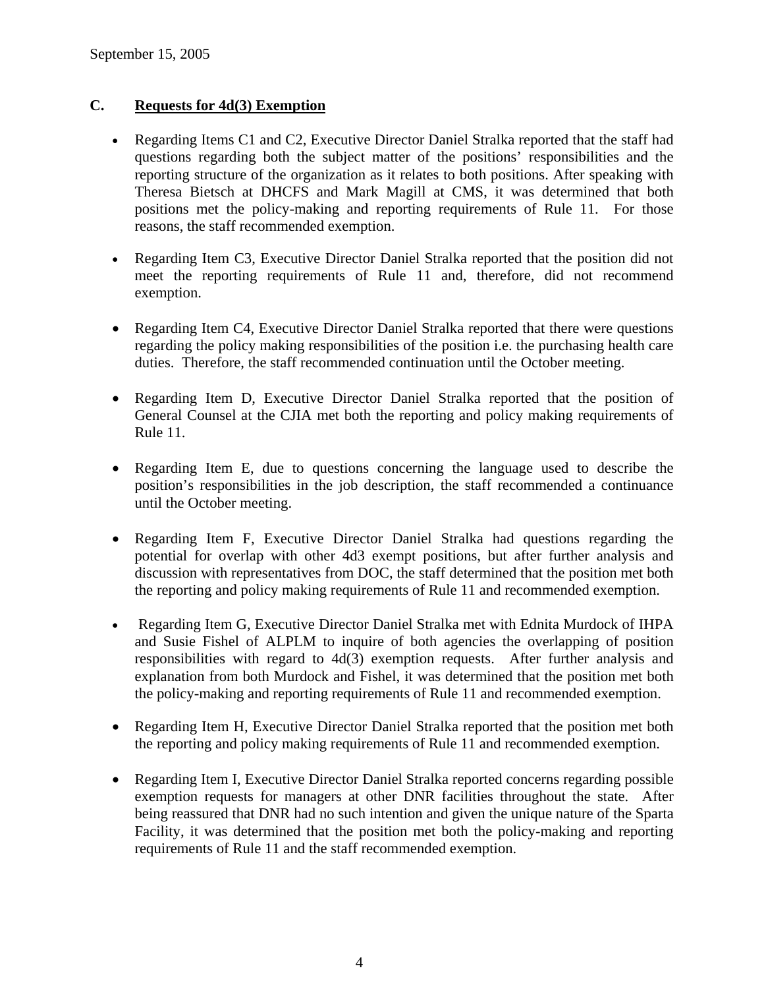# **C. Requests for 4d(3) Exemption**

- Regarding Items C1 and C2, Executive Director Daniel Stralka reported that the staff had questions regarding both the subject matter of the positions' responsibilities and the reporting structure of the organization as it relates to both positions. After speaking with Theresa Bietsch at DHCFS and Mark Magill at CMS, it was determined that both positions met the policy-making and reporting requirements of Rule 11. For those reasons, the staff recommended exemption.
- Regarding Item C3, Executive Director Daniel Stralka reported that the position did not meet the reporting requirements of Rule 11 and, therefore, did not recommend exemption.
- Regarding Item C4, Executive Director Daniel Stralka reported that there were questions regarding the policy making responsibilities of the position i.e. the purchasing health care duties. Therefore, the staff recommended continuation until the October meeting.
- Regarding Item D, Executive Director Daniel Stralka reported that the position of General Counsel at the CJIA met both the reporting and policy making requirements of Rule 11.
- Regarding Item E, due to questions concerning the language used to describe the position's responsibilities in the job description, the staff recommended a continuance until the October meeting.
- Regarding Item F, Executive Director Daniel Stralka had questions regarding the potential for overlap with other 4d3 exempt positions, but after further analysis and discussion with representatives from DOC, the staff determined that the position met both the reporting and policy making requirements of Rule 11 and recommended exemption.
- Regarding Item G, Executive Director Daniel Stralka met with Ednita Murdock of IHPA and Susie Fishel of ALPLM to inquire of both agencies the overlapping of position responsibilities with regard to 4d(3) exemption requests. After further analysis and explanation from both Murdock and Fishel, it was determined that the position met both the policy-making and reporting requirements of Rule 11 and recommended exemption.
- Regarding Item H, Executive Director Daniel Stralka reported that the position met both the reporting and policy making requirements of Rule 11 and recommended exemption.
- Regarding Item I, Executive Director Daniel Stralka reported concerns regarding possible exemption requests for managers at other DNR facilities throughout the state. After being reassured that DNR had no such intention and given the unique nature of the Sparta Facility, it was determined that the position met both the policy-making and reporting requirements of Rule 11 and the staff recommended exemption.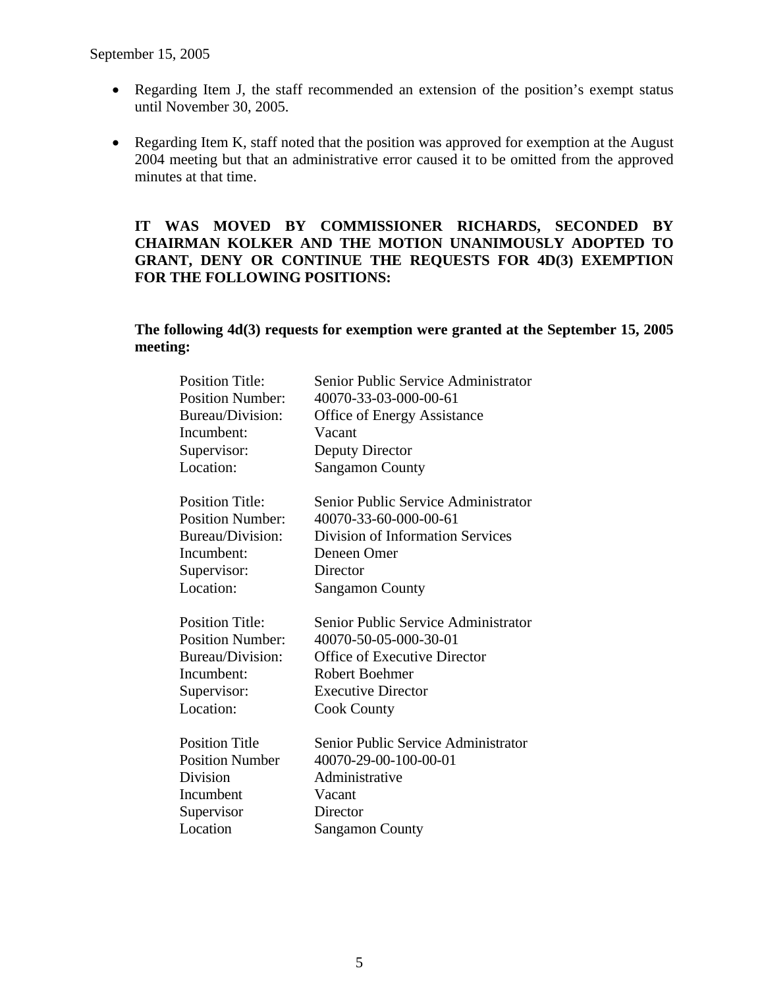- Regarding Item J, the staff recommended an extension of the position's exempt status until November 30, 2005.
- Regarding Item K, staff noted that the position was approved for exemption at the August 2004 meeting but that an administrative error caused it to be omitted from the approved minutes at that time.

## **IT WAS MOVED BY COMMISSIONER RICHARDS, SECONDED BY CHAIRMAN KOLKER AND THE MOTION UNANIMOUSLY ADOPTED TO GRANT, DENY OR CONTINUE THE REQUESTS FOR 4D(3) EXEMPTION FOR THE FOLLOWING POSITIONS:**

## **The following 4d(3) requests for exemption were granted at the September 15, 2005 meeting:**

| <b>Position Title:</b>  | Senior Public Service Administrator     |
|-------------------------|-----------------------------------------|
| <b>Position Number:</b> | 40070-33-03-000-00-61                   |
| Bureau/Division:        | <b>Office of Energy Assistance</b>      |
| Incumbent:              | Vacant                                  |
| Supervisor:             | <b>Deputy Director</b>                  |
| Location:               | <b>Sangamon County</b>                  |
| <b>Position Title:</b>  | Senior Public Service Administrator     |
| <b>Position Number:</b> | 40070-33-60-000-00-61                   |
| Bureau/Division:        | <b>Division of Information Services</b> |
| Incumbent:              | Deneen Omer                             |
| Supervisor:             | Director                                |
| Location:               | <b>Sangamon County</b>                  |
| <b>Position Title:</b>  | Senior Public Service Administrator     |
| <b>Position Number:</b> | 40070-50-05-000-30-01                   |
| Bureau/Division:        | <b>Office of Executive Director</b>     |
| Incumbent:              | <b>Robert Boehmer</b>                   |
| Supervisor:             | <b>Executive Director</b>               |
| Location:               | <b>Cook County</b>                      |
| <b>Position Title</b>   | Senior Public Service Administrator     |
| <b>Position Number</b>  | 40070-29-00-100-00-01                   |
| <b>Division</b>         | Administrative                          |
| Incumbent               | Vacant                                  |
| Supervisor              | Director                                |
| Location                |                                         |
|                         | <b>Sangamon County</b>                  |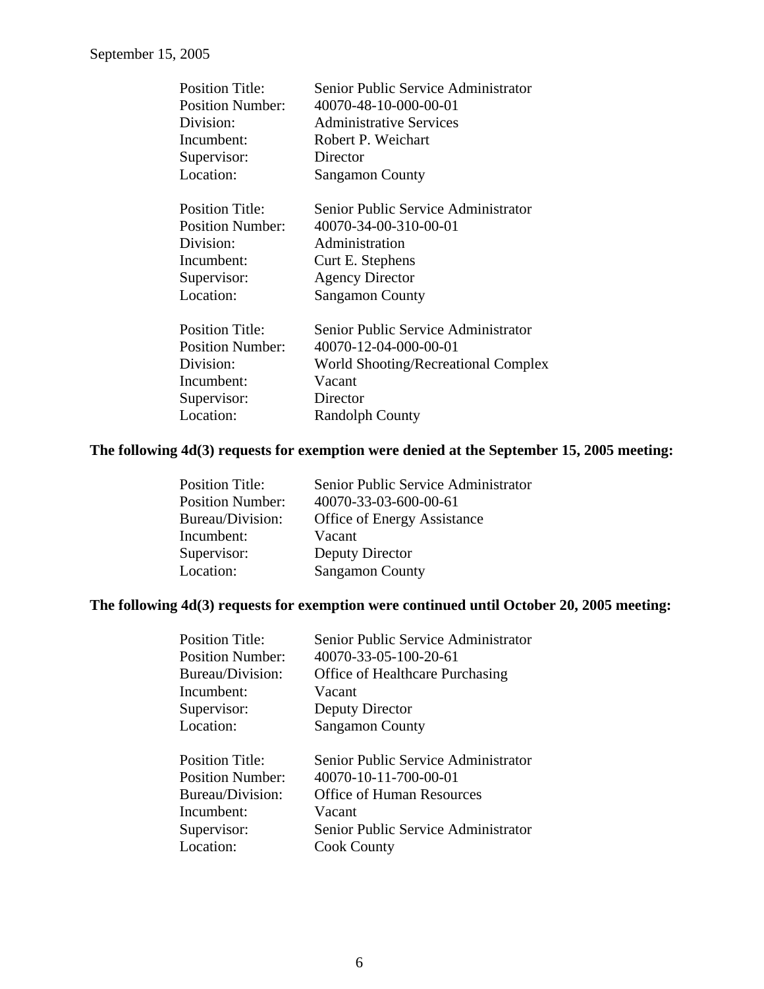| <b>Position Title:</b>  | Senior Public Service Administrator |
|-------------------------|-------------------------------------|
| <b>Position Number:</b> | 40070-48-10-000-00-01               |
| Division:               | <b>Administrative Services</b>      |
| Incumbent:              | Robert P. Weichart                  |
| Supervisor:             | Director                            |
| Location:               | <b>Sangamon County</b>              |
| <b>Position Title:</b>  | Senior Public Service Administrator |
| <b>Position Number:</b> | 40070-34-00-310-00-01               |
| Division:               | Administration                      |
| Incumbent:              | Curt E. Stephens                    |
| Supervisor:             | <b>Agency Director</b>              |
| Location:               | <b>Sangamon County</b>              |
| <b>Position Title:</b>  | Senior Public Service Administrator |
| <b>Position Number:</b> | 40070-12-04-000-00-01               |
| Division:               | World Shooting/Recreational Complex |
| Incumbent:              | Vacant                              |
| Supervisor:             | Director                            |
| Location:               | <b>Randolph County</b>              |
|                         |                                     |

# **The following 4d(3) requests for exemption were denied at the September 15, 2005 meeting:**

| Senior Public Service Administrator |
|-------------------------------------|
| 40070-33-03-600-00-61               |
| <b>Office of Energy Assistance</b>  |
| Vacant                              |
| Deputy Director                     |
| <b>Sangamon County</b>              |
|                                     |

## **The following 4d(3) requests for exemption were continued until October 20, 2005 meeting:**

| <b>Position Title:</b>  | Senior Public Service Administrator    |
|-------------------------|----------------------------------------|
| <b>Position Number:</b> | 40070-33-05-100-20-61                  |
| Bureau/Division:        | <b>Office of Healthcare Purchasing</b> |
| Incumbent:              | Vacant                                 |
| Supervisor:             | Deputy Director                        |
| Location:               | <b>Sangamon County</b>                 |
|                         |                                        |
| <b>Position Title:</b>  | Senior Public Service Administrator    |
| <b>Position Number:</b> | 40070-10-11-700-00-01                  |
| Bureau/Division:        | <b>Office of Human Resources</b>       |
| Incumbent:              | Vacant                                 |
| Supervisor:             | Senior Public Service Administrator    |
| Location:               | <b>Cook County</b>                     |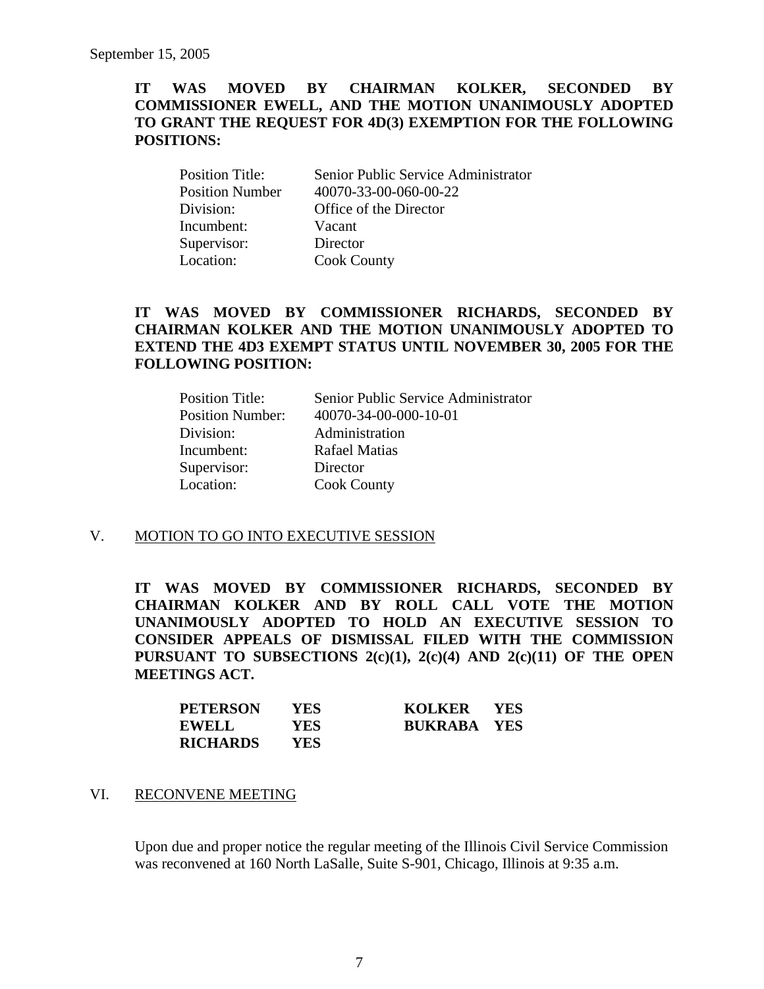### **IT WAS MOVED BY CHAIRMAN KOLKER, SECONDED BY COMMISSIONER EWELL, AND THE MOTION UNANIMOUSLY ADOPTED TO GRANT THE REQUEST FOR 4D(3) EXEMPTION FOR THE FOLLOWING POSITIONS:**

| <b>Position Title:</b> | Senior Public Service Administrator |
|------------------------|-------------------------------------|
| <b>Position Number</b> | 40070-33-00-060-00-22               |
| Division:              | Office of the Director              |
| Incumbent:             | Vacant                              |
| Supervisor:            | Director                            |
| Location:              | <b>Cook County</b>                  |

## **IT WAS MOVED BY COMMISSIONER RICHARDS, SECONDED BY CHAIRMAN KOLKER AND THE MOTION UNANIMOUSLY ADOPTED TO EXTEND THE 4D3 EXEMPT STATUS UNTIL NOVEMBER 30, 2005 FOR THE FOLLOWING POSITION:**

| Senior Public Service Administrator |
|-------------------------------------|
| 40070-34-00-000-10-01               |
| Administration                      |
| <b>Rafael Matias</b>                |
| Director                            |
| <b>Cook County</b>                  |
|                                     |

#### V. MOTION TO GO INTO EXECUTIVE SESSION

**IT WAS MOVED BY COMMISSIONER RICHARDS, SECONDED BY CHAIRMAN KOLKER AND BY ROLL CALL VOTE THE MOTION UNANIMOUSLY ADOPTED TO HOLD AN EXECUTIVE SESSION TO CONSIDER APPEALS OF DISMISSAL FILED WITH THE COMMISSION PURSUANT TO SUBSECTIONS 2(c)(1), 2(c)(4) AND 2(c)(11) OF THE OPEN MEETINGS ACT.** 

| <b>PETERSON</b> | YES.       | KOLKER YES         |  |
|-----------------|------------|--------------------|--|
| <b>EWELL</b>    | <b>YES</b> | <b>BUKRABA YES</b> |  |
| <b>RICHARDS</b> | YES.       |                    |  |

#### VI. RECONVENE MEETING

Upon due and proper notice the regular meeting of the Illinois Civil Service Commission was reconvened at 160 North LaSalle, Suite S-901, Chicago, Illinois at 9:35 a.m.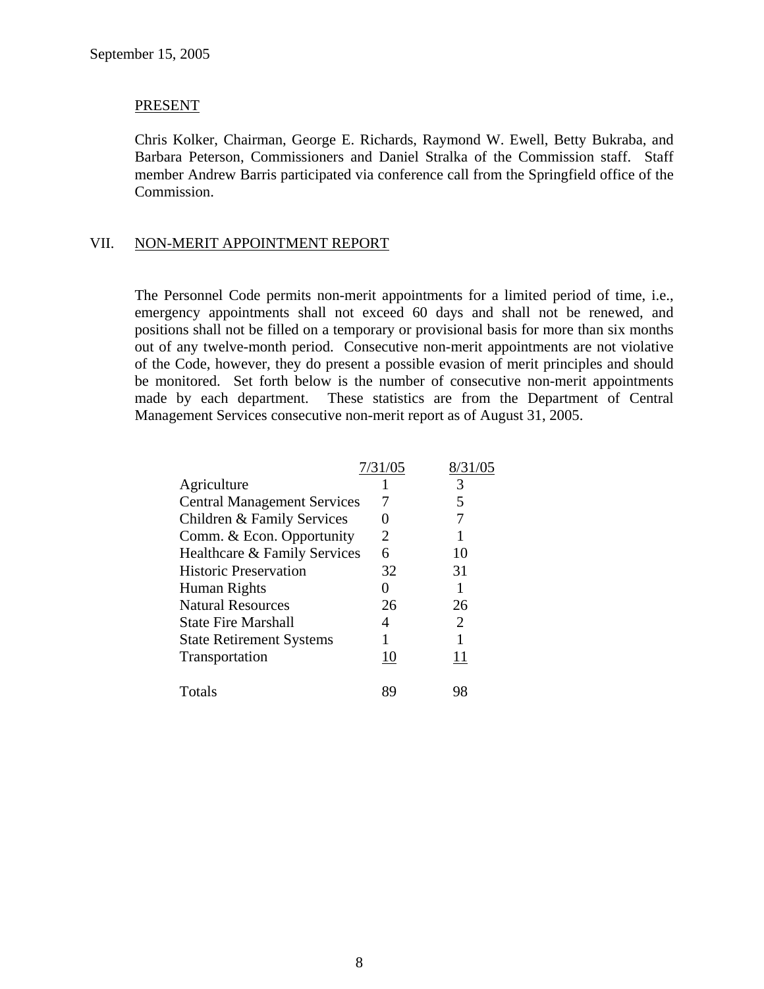#### PRESENT

Chris Kolker, Chairman, George E. Richards, Raymond W. Ewell, Betty Bukraba, and Barbara Peterson, Commissioners and Daniel Stralka of the Commission staff. Staff member Andrew Barris participated via conference call from the Springfield office of the Commission.

#### VII. NON-MERIT APPOINTMENT REPORT

The Personnel Code permits non-merit appointments for a limited period of time, i.e., emergency appointments shall not exceed 60 days and shall not be renewed, and positions shall not be filled on a temporary or provisional basis for more than six months out of any twelve-month period. Consecutive non-merit appointments are not violative of the Code, however, they do present a possible evasion of merit principles and should be monitored. Set forth below is the number of consecutive non-merit appointments made by each department. These statistics are from the Department of Central Management Services consecutive non-merit report as of August 31, 2005.

|                                    | 7/31/05 | 8/31/05               |
|------------------------------------|---------|-----------------------|
| Agriculture                        |         |                       |
| <b>Central Management Services</b> |         |                       |
| Children & Family Services         |         |                       |
| Comm. & Econ. Opportunity          | 2       |                       |
| Healthcare & Family Services       | 6       | 10                    |
| <b>Historic Preservation</b>       | 32      | 31                    |
| Human Rights                       |         |                       |
| <b>Natural Resources</b>           | 26      | 26                    |
| <b>State Fire Marshall</b>         | 4       | $\mathcal{D}_{\cdot}$ |
| <b>State Retirement Systems</b>    |         |                       |
| Transportation                     |         |                       |
|                                    |         |                       |
| Totals                             | 89      |                       |
|                                    |         |                       |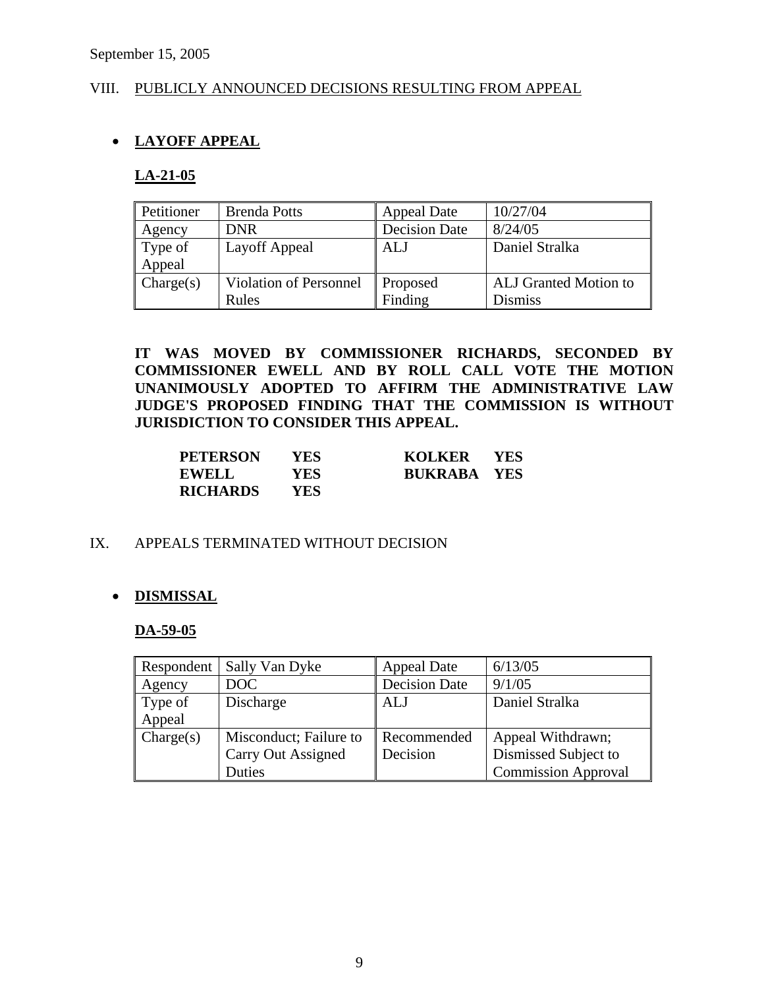## VIII. PUBLICLY ANNOUNCED DECISIONS RESULTING FROM APPEAL

# • **LAYOFF APPEAL**

#### **LA-21-05**

| Petitioner | <b>Brenda Potts</b>           | <b>Appeal Date</b>   | 10/27/04                     |
|------------|-------------------------------|----------------------|------------------------------|
| Agency     | <b>DNR</b>                    | <b>Decision Date</b> | 8/24/05                      |
| Type of    | Layoff Appeal                 | <b>ALJ</b>           | Daniel Stralka               |
| Appeal     |                               |                      |                              |
| Change(s)  | <b>Violation of Personnel</b> | Proposed             | <b>ALJ</b> Granted Motion to |
|            | Rules                         | Finding              | <b>Dismiss</b>               |

**IT WAS MOVED BY COMMISSIONER RICHARDS, SECONDED BY COMMISSIONER EWELL AND BY ROLL CALL VOTE THE MOTION UNANIMOUSLY ADOPTED TO AFFIRM THE ADMINISTRATIVE LAW JUDGE'S PROPOSED FINDING THAT THE COMMISSION IS WITHOUT JURISDICTION TO CONSIDER THIS APPEAL.** 

| <b>PETERSON</b> | YES- | KOLKER YES         |  |
|-----------------|------|--------------------|--|
| <b>EWELL</b>    | YES. | <b>BUKRABA YES</b> |  |
| <b>RICHARDS</b> | YES- |                    |  |

#### IX. APPEALS TERMINATED WITHOUT DECISION

## • **DISMISSAL**

#### **DA-59-05**

| Respondent | Sally Van Dyke         | <b>Appeal Date</b>   | 6/13/05                    |
|------------|------------------------|----------------------|----------------------------|
| Agency     | DOC                    | <b>Decision Date</b> | 9/1/05                     |
| Type of    | Discharge              | <b>ALJ</b>           | Daniel Stralka             |
| Appeal     |                        |                      |                            |
| Change(s)  | Misconduct; Failure to | Recommended          | Appeal Withdrawn;          |
|            | Carry Out Assigned     | Decision             | Dismissed Subject to       |
|            | Duties                 |                      | <b>Commission Approval</b> |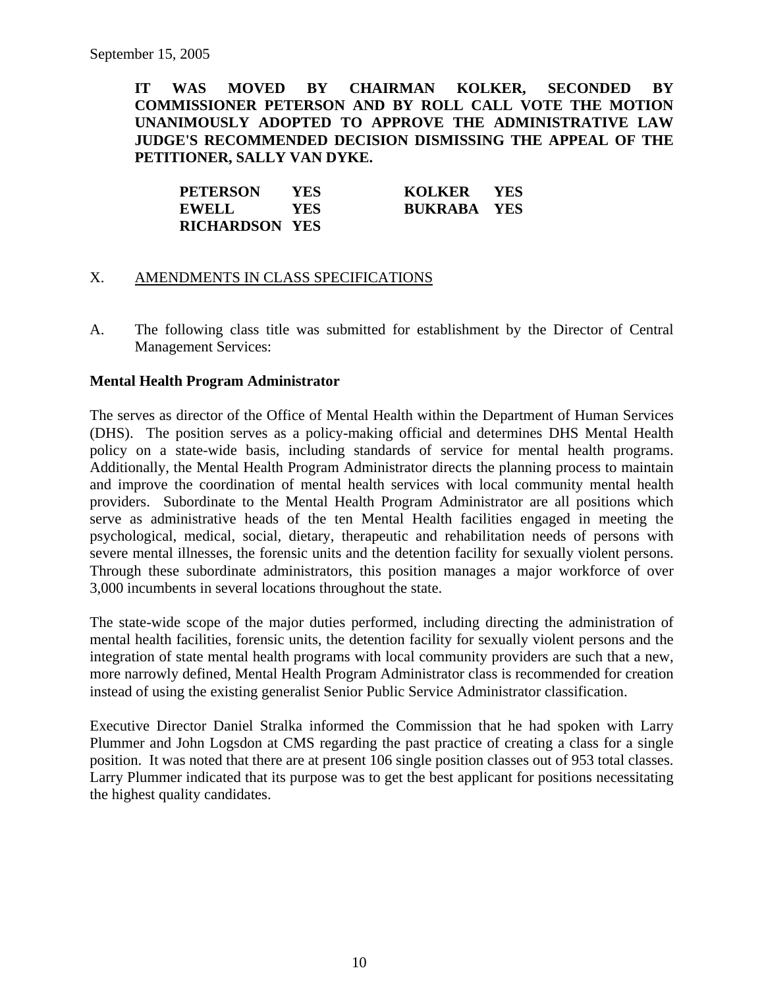**IT WAS MOVED BY CHAIRMAN KOLKER, SECONDED BY COMMISSIONER PETERSON AND BY ROLL CALL VOTE THE MOTION UNANIMOUSLY ADOPTED TO APPROVE THE ADMINISTRATIVE LAW JUDGE'S RECOMMENDED DECISION DISMISSING THE APPEAL OF THE PETITIONER, SALLY VAN DYKE.** 

| <b>PETERSON</b>       | <b>YES</b> | KOLKER YES         |  |
|-----------------------|------------|--------------------|--|
| EWELL                 | YES        | <b>BUKRABA YES</b> |  |
| <b>RICHARDSON YES</b> |            |                    |  |

## X. AMENDMENTS IN CLASS SPECIFICATIONS

A. The following class title was submitted for establishment by the Director of Central Management Services:

#### **Mental Health Program Administrator**

The serves as director of the Office of Mental Health within the Department of Human Services (DHS). The position serves as a policy-making official and determines DHS Mental Health policy on a state-wide basis, including standards of service for mental health programs. Additionally, the Mental Health Program Administrator directs the planning process to maintain and improve the coordination of mental health services with local community mental health providers. Subordinate to the Mental Health Program Administrator are all positions which serve as administrative heads of the ten Mental Health facilities engaged in meeting the psychological, medical, social, dietary, therapeutic and rehabilitation needs of persons with severe mental illnesses, the forensic units and the detention facility for sexually violent persons. Through these subordinate administrators, this position manages a major workforce of over 3,000 incumbents in several locations throughout the state.

The state-wide scope of the major duties performed, including directing the administration of mental health facilities, forensic units, the detention facility for sexually violent persons and the integration of state mental health programs with local community providers are such that a new, more narrowly defined, Mental Health Program Administrator class is recommended for creation instead of using the existing generalist Senior Public Service Administrator classification.

Executive Director Daniel Stralka informed the Commission that he had spoken with Larry Plummer and John Logsdon at CMS regarding the past practice of creating a class for a single position. It was noted that there are at present 106 single position classes out of 953 total classes. Larry Plummer indicated that its purpose was to get the best applicant for positions necessitating the highest quality candidates.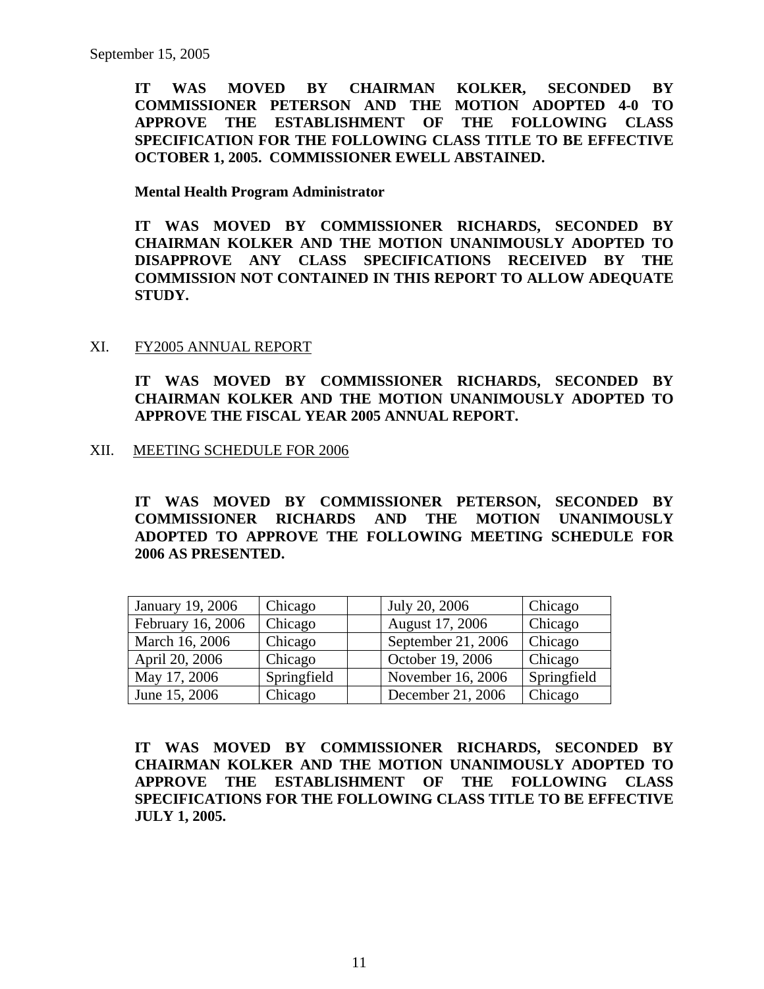**IT WAS MOVED BY CHAIRMAN KOLKER, SECONDED BY COMMISSIONER PETERSON AND THE MOTION ADOPTED 4-0 TO APPROVE THE ESTABLISHMENT OF THE FOLLOWING CLASS SPECIFICATION FOR THE FOLLOWING CLASS TITLE TO BE EFFECTIVE OCTOBER 1, 2005. COMMISSIONER EWELL ABSTAINED.** 

**Mental Health Program Administrator** 

**IT WAS MOVED BY COMMISSIONER RICHARDS, SECONDED BY CHAIRMAN KOLKER AND THE MOTION UNANIMOUSLY ADOPTED TO DISAPPROVE ANY CLASS SPECIFICATIONS RECEIVED BY THE COMMISSION NOT CONTAINED IN THIS REPORT TO ALLOW ADEQUATE STUDY.** 

XI. FY2005 ANNUAL REPORT

**IT WAS MOVED BY COMMISSIONER RICHARDS, SECONDED BY CHAIRMAN KOLKER AND THE MOTION UNANIMOUSLY ADOPTED TO APPROVE THE FISCAL YEAR 2005 ANNUAL REPORT.** 

XII. MEETING SCHEDULE FOR 2006

**IT WAS MOVED BY COMMISSIONER PETERSON, SECONDED BY COMMISSIONER RICHARDS AND THE MOTION UNANIMOUSLY ADOPTED TO APPROVE THE FOLLOWING MEETING SCHEDULE FOR 2006 AS PRESENTED.** 

| January 19, 2006  | Chicago     | July 20, 2006      | Chicago     |
|-------------------|-------------|--------------------|-------------|
| February 16, 2006 | Chicago     | August 17, 2006    | Chicago     |
| March 16, 2006    | Chicago     | September 21, 2006 | Chicago     |
| April 20, 2006    | Chicago     | October 19, 2006   | Chicago     |
| May 17, 2006      | Springfield | November 16, 2006  | Springfield |
| June 15, 2006     | Chicago     | December 21, 2006  | Chicago     |

**IT WAS MOVED BY COMMISSIONER RICHARDS, SECONDED BY CHAIRMAN KOLKER AND THE MOTION UNANIMOUSLY ADOPTED TO APPROVE THE ESTABLISHMENT OF THE FOLLOWING CLASS SPECIFICATIONS FOR THE FOLLOWING CLASS TITLE TO BE EFFECTIVE JULY 1, 2005.**